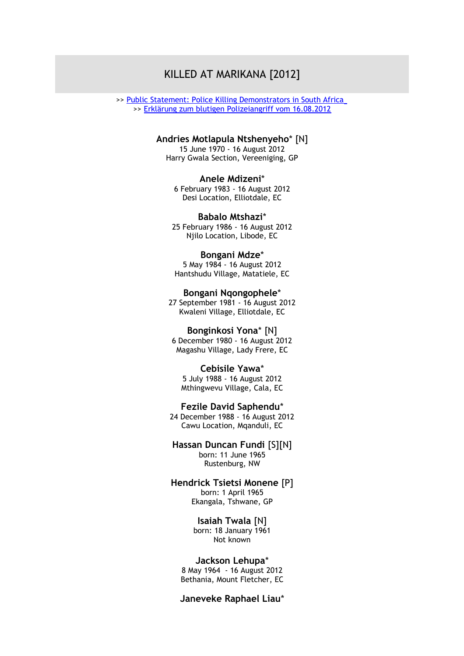# KILLED AT MARIKANA [2012]

>> [Public Statement: Police Killing Demonstrators in South Africa](http://www.benkhumalo-seegelken.de/dokumente/Public-Stament-Killed-Demonstrators-in-South-Africa.doc) >> [Erklärung zum blutigen Polizeiangriff vom 16.08.2012](http://www.benkhumalo-seegelken.de/dokumente/Stellungnahme-zum-blutigen-Polizeiangriff-gegen-Demonstrierende-in-Suedafrika-2012.doc)

### **Andries Motlapula Ntshenyeho**\* [N]

15 June 1970 - 16 August 2012 Harry Gwala Section, Vereeniging, GP

#### **Anele Mdizeni**\*

6 February 1983 - 16 August 2012 Desi Location, Elliotdale, EC

**Babalo Mtshazi**\* 25 February 1986 - 16 August 2012 Njilo Location, Libode, EC

# **Bongani Mdze**\*

5 May 1984 - 16 August 2012 Hantshudu Village, Matatiele, EC

**Bongani Nqongophele**\* 27 September 1981 - 16 August 2012 Kwaleni Village, Elliotdale, EC

### **Bonginkosi Yona**\* [N]

6 December 1980 - 16 August 2012 Magashu Village, Lady Frere, EC

### **Cebisile Yawa**\*

5 July 1988 - 16 August 2012 Mthingwevu Village, Cala, EC

**Fezile David Saphendu**\*

24 December 1988 - 16 August 2012 Cawu Location, Mqanduli, EC

**Hassan Duncan Fundi** [S][N] born: 11 June 1965 Rustenburg, NW

### **Hendrick Tsietsi Monene** [P] born: 1 April 1965 Ekangala, Tshwane, GP

**Isaiah Twala** [N] born: 18 January 1961 Not known

#### **Jackson Lehupa**\*

8 May 1964 - 16 August 2012 Bethania, Mount Fletcher, EC

# **Janeveke Raphael Liau**\*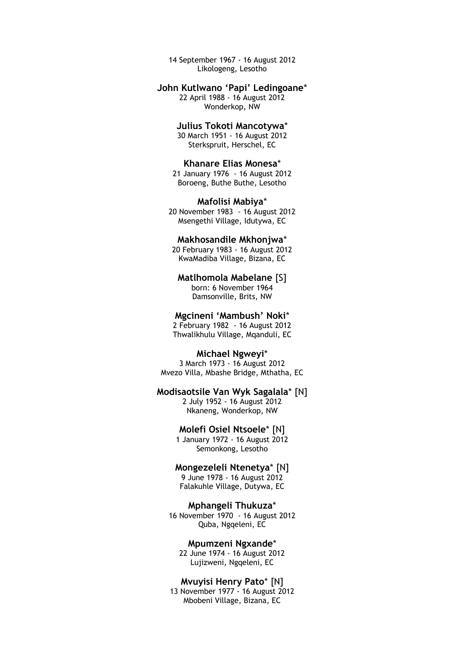14 September 1967 - 16 August 2012 Likologeng, Lesotho

## **John Kutlwano 'Papi' Ledingoane**\*

22 April 1988 - 16 August 2012 Wonderkop, NW

# **Julius Tokoti Mancotywa**\*

30 March 1951 - 16 August 2012 Sterkspruit, Herschel, EC

### **Khanare Elias Monesa**\*

21 January 1976 - 16 August 2012 Boroeng, Buthe Buthe, Lesotho

#### **Mafolisi Mabiya**\*

20 November 1983 - 16 August 2012 Msengethi Village, Idutywa, EC

### **Makhosandile Mkhonjwa**\*

20 February 1983 - 16 August 2012 KwaMadiba Village, Bizana, EC

# **Matlhomola Mabelane** [S]

born: 6 November 1964 Damsonville, Brits, NW

# **Mgcineni 'Mambush' Noki**\*

2 February 1982 - 16 August 2012 Thwalikhulu Village, Mqanduli, EC

### **Michael Ngweyi**\*

3 March 1973 - 16 August 2012 Mvezo Villa, Mbashe Bridge, Mthatha, EC

# **Modisaotsile Van Wyk Sagalala**\* [N]

2 July 1952 - 16 August 2012 Nkaneng, Wonderkop, NW

### **Molefi Osiel Ntsoele**\* [N]

1 January 1972 - 16 August 2012 Semonkong, Lesotho

# **Mongezeleli Ntenetya**\* [N]

9 June 1978 - 16 August 2012 Falakuhle Village, Dutywa, EC

### **Mphangeli Thukuza**\*

16 November 1970 - 16 August 2012 Quba, Ngqeleni, EC

### **Mpumzeni Ngxande**\*

22 June 1974 - 16 August 2012 Lujizweni, Ngqeleni, EC

### **Mvuyisi Henry Pato**\* [N]

13 November 1977 - 16 August 2012 Mbobeni Village, Bizana, EC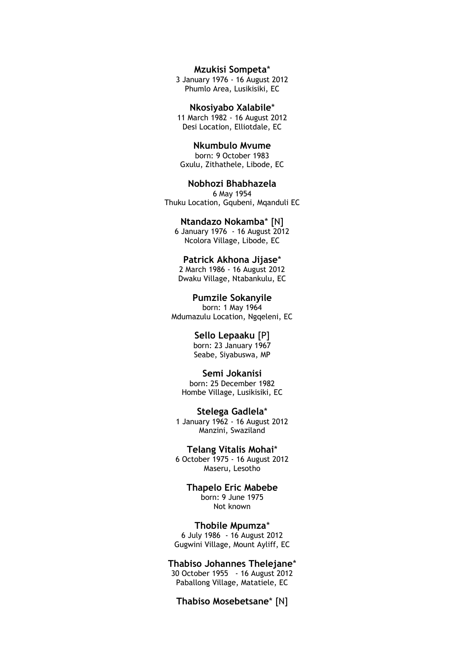**Mzukisi Sompeta**\*

3 January 1976 - 16 August 2012 Phumlo Area, Lusikisiki, EC

**Nkosiyabo Xalabile**\* 11 March 1982 - 16 August 2012 Desi Location, Elliotdale, EC

**Nkumbulo Mvume** born: 9 October 1983 Gxulu, Zithathele, Libode, EC

**Nobhozi Bhabhazela** 6 May 1954 Thuku Location, Gqubeni, Mqanduli EC

**Ntandazo Nokamba**\* [N] 6 January 1976 - 16 August 2012 Ncolora Village, Libode, EC

**Patrick Akhona Jijase**\* 2 March 1986 - 16 August 2012 Dwaku Village, Ntabankulu, EC

**Pumzile Sokanyile** born: 1 May 1964 Mdumazulu Location, Ngqeleni, EC

> **Sello Lepaaku** [P] born: 23 January 1967 Seabe, Siyabuswa, MP

**Semi Jokanisi** born: 25 December 1982 Hombe Village, Lusikisiki, EC

**Stelega Gadlela**\* 1 January 1962 - 16 August 2012 Manzini, Swaziland

**Telang Vitalis Mohai**\* 6 October 1975 - 16 August 2012 Maseru, Lesotho

> **Thapelo Eric Mabebe** born: 9 June 1975 Not known

**Thobile Mpumza**\* 6 July 1986 - 16 August 2012 Gugwini Village, Mount Ayliff, EC

**Thabiso Johannes Thelejane**\*

30 October 1955 - 16 August 2012 Paballong Village, Matatiele, EC

**Thabiso Mosebetsane**\* [N]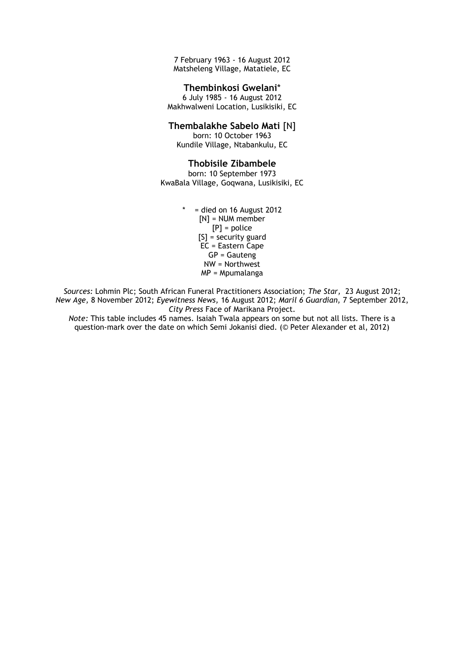7 February 1963 - 16 August 2012 Matsheleng Village, Matatiele, EC

# **Thembinkosi Gwelani**\*

6 July 1985 - 16 August 2012 Makhwalweni Location, Lusikisiki, EC

# **Thembalakhe Sabelo Mati** [N]

born: 10 October 1963 Kundile Village, Ntabankulu, EC

### **Thobisile Zibambele**

born: 10 September 1973 KwaBala Village, Goqwana, Lusikisiki, EC

> $*$  = died on 16 August 2012  $[N]$  = NUM member [P] = police  $[S]$  = security guard  $EC = Eastern \text{Cape}$  $GP =$  Gauteng NW = Northwest MP = Mpumalanga

*Sources:* Lohmin Plc; South African Funeral Practitioners Association; *The Star,* 23 August 2012; *New Age,* 8 November 2012; *Eyewitness News,* 16 August 2012; *Maril 6 Guardian,* 7 September 2012, *City Press* Face of Marikana Project.

*Note:* This table includes 45 names. Isaiah Twala appears on some but not all lists. There is a question-mark over the date on which Semi Jokanisi died. (© Peter Alexander et al, 2012)